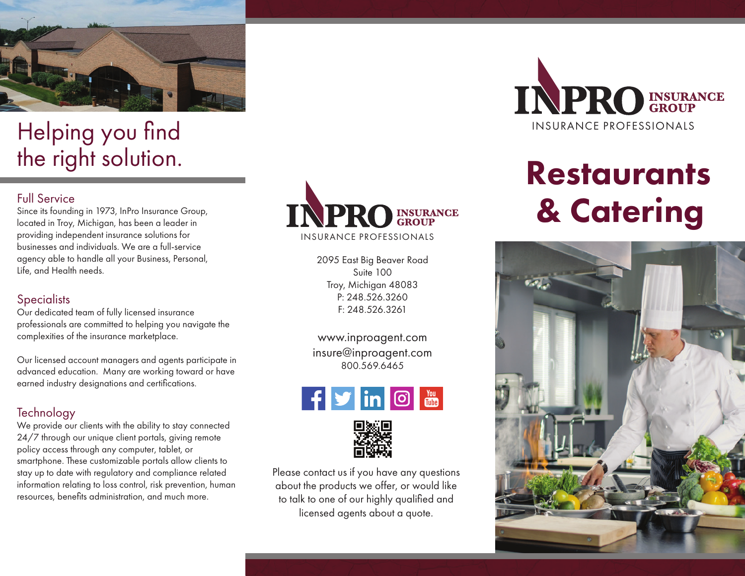

## Helping you find the right solution.

Since its founding in 1973, InPro Insurance Group, located in Troy, Michigan, has been a leader in providing independent insurance solutions for businesses and individuals. We are a full-service agency able to handle all your Business, Personal, Life, and Health needs.

#### **Specialists**

Our dedicated team of fully licensed insurance professionals are committed to helping you navigate the complexities of the insurance marketplace.

Our licensed account managers and agents participate in advanced education. Many are working toward or have earned industry designations and certifications.

### **Technology**

We provide our clients with the ability to stay connected 24/7 through our unique client portals, giving remote policy access through any computer, tablet, or smartphone. These customizable portals allow clients to stay up to date with regulatory and compliance related information relating to loss control, risk prevention, human resources, benefits administration, and much more.



INSURANCE PROFESSIONALS

2095 East Big Beaver Road Suite 100 Troy, Michigan 48083 P: 248.526.3260 F: 248.526.3261

www.inproagent.com insure@inproagent.com 800.569.6465





Please contact us if you have any questions about the products we offer, or would like to talk to one of our highly qualified and licensed agents about a quote.



# **Restaurants**